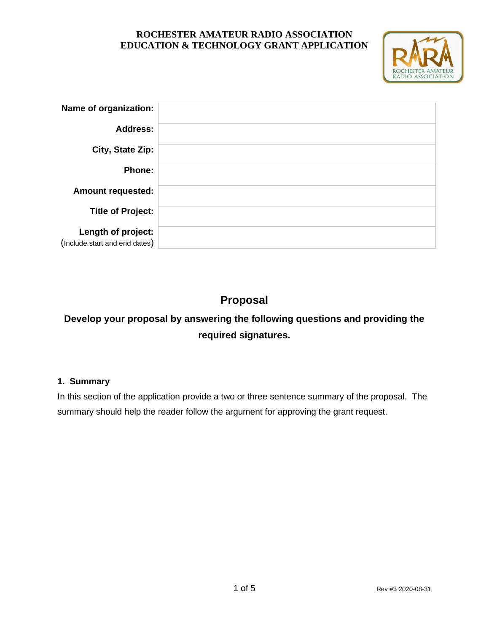

| Name of organization:         |  |
|-------------------------------|--|
| <b>Address:</b>               |  |
| City, State Zip:              |  |
| Phone:                        |  |
| <b>Amount requested:</b>      |  |
| <b>Title of Project:</b>      |  |
| Length of project:            |  |
| (Include start and end dates) |  |

# **Proposal**

# **Develop your proposal by answering the following questions and providing the required signatures.**

## **1. Summary**

In this section of the application provide a two or three sentence summary of the proposal. The summary should help the reader follow the argument for approving the grant request.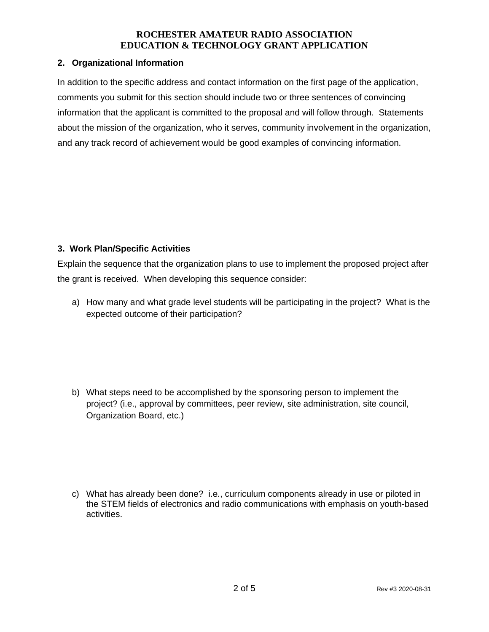#### **2. Organizational Information**

In addition to the specific address and contact information on the first page of the application, comments you submit for this section should include two or three sentences of convincing information that the applicant is committed to the proposal and will follow through. Statements about the mission of the organization, who it serves, community involvement in the organization, and any track record of achievement would be good examples of convincing information.

## **3. Work Plan/Specific Activities**

Explain the sequence that the organization plans to use to implement the proposed project after the grant is received. When developing this sequence consider:

a) How many and what grade level students will be participating in the project? What is the expected outcome of their participation?

b) What steps need to be accomplished by the sponsoring person to implement the project? (i.e., approval by committees, peer review, site administration, site council, Organization Board, etc.)

c) What has already been done? i.e., curriculum components already in use or piloted in the STEM fields of electronics and radio communications with emphasis on youth-based activities.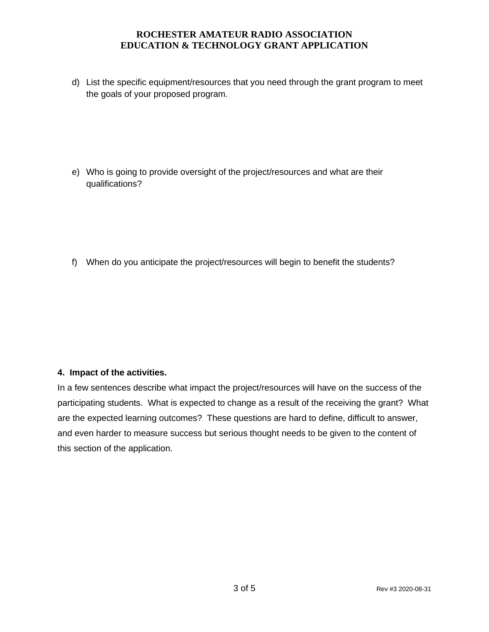d) List the specific equipment/resources that you need through the grant program to meet the goals of your proposed program.

e) Who is going to provide oversight of the project/resources and what are their qualifications?

f) When do you anticipate the project/resources will begin to benefit the students?

## **4. Impact of the activities.**

In a few sentences describe what impact the project/resources will have on the success of the participating students. What is expected to change as a result of the receiving the grant? What are the expected learning outcomes? These questions are hard to define, difficult to answer, and even harder to measure success but serious thought needs to be given to the content of this section of the application.